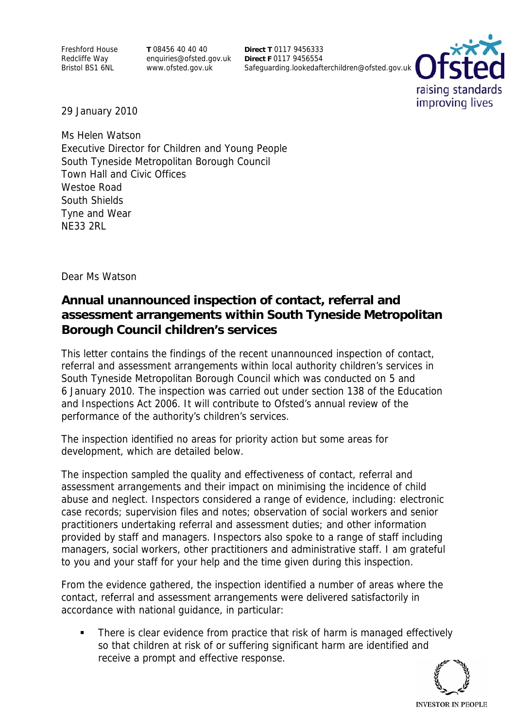Freshford House Redcliffe Way Bristol BS1 6NL

**T** 08456 40 40 40 enquiries@ofsted.gov.uk www.ofsted.gov.uk

**Direct T** 0117 9456333 **Direct F** 0117 9456554 Safeguarding.lookedafterchildren@ofsted.gov.uk



29 January 2010

Ms Helen Watson Executive Director for Children and Young People South Tyneside Metropolitan Borough Council Town Hall and Civic Offices Westoe Road South Shields Tyne and Wear NE33 2RL

Dear Ms Watson

## **Annual unannounced inspection of contact, referral and assessment arrangements within South Tyneside Metropolitan Borough Council children's services**

This letter contains the findings of the recent unannounced inspection of contact, referral and assessment arrangements within local authority children's services in South Tyneside Metropolitan Borough Council which was conducted on 5 and 6 January 2010. The inspection was carried out under section 138 of the Education and Inspections Act 2006. It will contribute to Ofsted's annual review of the performance of the authority's children's services.

The inspection identified no areas for priority action but some areas for development, which are detailed below.

The inspection sampled the quality and effectiveness of contact, referral and assessment arrangements and their impact on minimising the incidence of child abuse and neglect. Inspectors considered a range of evidence, including: electronic case records; supervision files and notes; observation of social workers and senior practitioners undertaking referral and assessment duties; and other information provided by staff and managers. Inspectors also spoke to a range of staff including managers, social workers, other practitioners and administrative staff. I am grateful to you and your staff for your help and the time given during this inspection.

From the evidence gathered, the inspection identified a number of areas where the contact, referral and assessment arrangements were delivered satisfactorily in accordance with national guidance, in particular:

 There is clear evidence from practice that risk of harm is managed effectively so that children at risk of or suffering significant harm are identified and receive a prompt and effective response.

**INVESTOR IN PEOPLE**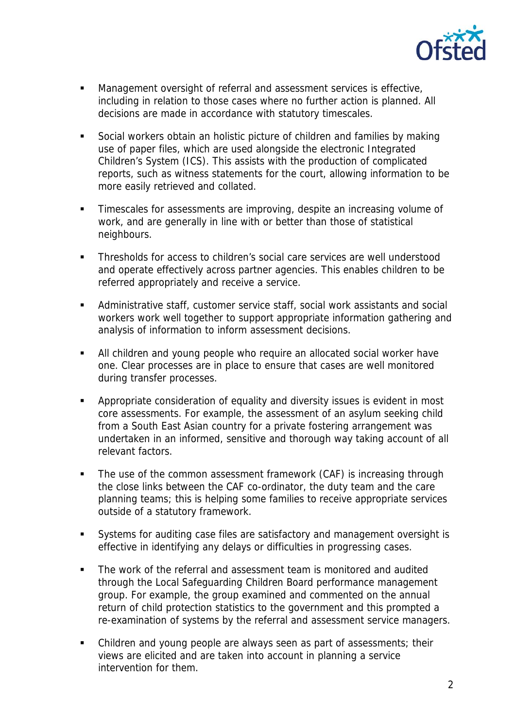

- Management oversight of referral and assessment services is effective, including in relation to those cases where no further action is planned. All decisions are made in accordance with statutory timescales.
- Social workers obtain an holistic picture of children and families by making use of paper files, which are used alongside the electronic Integrated Children's System (ICS). This assists with the production of complicated reports, such as witness statements for the court, allowing information to be more easily retrieved and collated.
- Timescales for assessments are improving, despite an increasing volume of work, and are generally in line with or better than those of statistical neighbours.
- Thresholds for access to children's social care services are well understood and operate effectively across partner agencies. This enables children to be referred appropriately and receive a service.
- Administrative staff, customer service staff, social work assistants and social workers work well together to support appropriate information gathering and analysis of information to inform assessment decisions.
- All children and young people who require an allocated social worker have one. Clear processes are in place to ensure that cases are well monitored during transfer processes.
- Appropriate consideration of equality and diversity issues is evident in most core assessments. For example, the assessment of an asylum seeking child from a South East Asian country for a private fostering arrangement was undertaken in an informed, sensitive and thorough way taking account of all relevant factors.
- The use of the common assessment framework (CAF) is increasing through the close links between the CAF co-ordinator, the duty team and the care planning teams; this is helping some families to receive appropriate services outside of a statutory framework.
- Systems for auditing case files are satisfactory and management oversight is effective in identifying any delays or difficulties in progressing cases.
- The work of the referral and assessment team is monitored and audited through the Local Safeguarding Children Board performance management group. For example, the group examined and commented on the annual return of child protection statistics to the government and this prompted a re-examination of systems by the referral and assessment service managers.
- Children and young people are always seen as part of assessments; their views are elicited and are taken into account in planning a service intervention for them.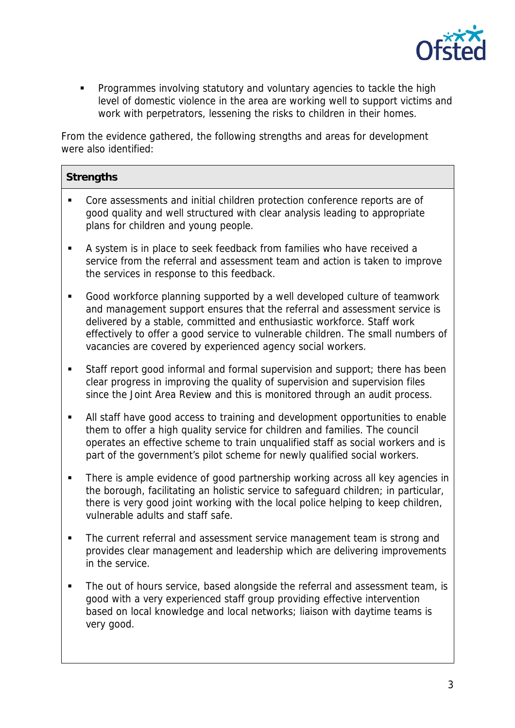

 Programmes involving statutory and voluntary agencies to tackle the high level of domestic violence in the area are working well to support victims and work with perpetrators, lessening the risks to children in their homes.

From the evidence gathered, the following strengths and areas for development were also identified:

| <b>Strengths</b> |  |
|------------------|--|
|                  |  |

- Core assessments and initial children protection conference reports are of good quality and well structured with clear analysis leading to appropriate plans for children and young people.
- A system is in place to seek feedback from families who have received a service from the referral and assessment team and action is taken to improve the services in response to this feedback.
- Good workforce planning supported by a well developed culture of teamwork and management support ensures that the referral and assessment service is delivered by a stable, committed and enthusiastic workforce. Staff work effectively to offer a good service to vulnerable children. The small numbers of vacancies are covered by experienced agency social workers.
- Staff report good informal and formal supervision and support; there has been clear progress in improving the quality of supervision and supervision files since the Joint Area Review and this is monitored through an audit process.
- All staff have good access to training and development opportunities to enable them to offer a high quality service for children and families. The council operates an effective scheme to train unqualified staff as social workers and is part of the government's pilot scheme for newly qualified social workers.
- There is ample evidence of good partnership working across all key agencies in the borough, facilitating an holistic service to safeguard children; in particular, there is very good joint working with the local police helping to keep children, vulnerable adults and staff safe.
- The current referral and assessment service management team is strong and provides clear management and leadership which are delivering improvements in the service.
- The out of hours service, based alongside the referral and assessment team, is good with a very experienced staff group providing effective intervention based on local knowledge and local networks; liaison with daytime teams is very good.